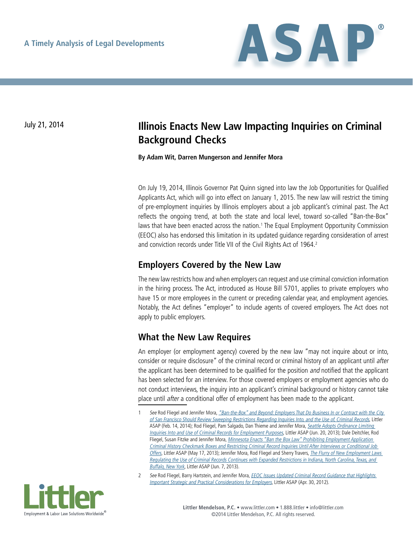

## July 21, 2014 **Illinois Enacts New Law Impacting Inquiries on Criminal Background Checks**

**By Adam Wit, Darren Mungerson and Jennifer Mora**

On July 19, 2014, Illinois Governor Pat Quinn signed into law the Job Opportunities for Qualified Applicants Act, which will go into effect on January 1, 2015. The new law will restrict the timing of pre-employment inquiries by Illinois employers about a job applicant's criminal past. The Act reflects the ongoing trend, at both the state and local level, toward so-called "Ban-the-Box" laws that have been enacted across the nation.<sup>1</sup> The Equal Employment Opportunity Commission (EEOC) also has endorsed this limitation in its updated guidance regarding consideration of arrest and conviction records under Title VII of the Civil Rights Act of 1964.<sup>2</sup>

## **Employers Covered by the New Law**

The new law restricts how and when employers can request and use criminal conviction information in the hiring process. The Act, introduced as House Bill 5701, applies to private employers who have 15 or more employees in the current or preceding calendar year, and employment agencies. Notably, the Act defines "employer" to include agents of covered employers. The Act does not apply to public employers.

## **What the New Law Requires**

An employer (or employment agency) covered by the new law "may not inquire about or into, consider or require disclosure" of the criminal record or criminal history of an applicant until after the applicant has been determined to be qualified for the position *and* notified that the applicant has been selected for an interview. For those covered employers or employment agencies who do not conduct interviews, the inquiry into an applicant's criminal background or history cannot take place until after a conditional offer of employment has been made to the applicant.

<sup>2</sup> See Rod Fliegel, Barry Hartstein, and Jennifer Mora, *EEOC Issues Updated Criminal Record Guidance that Highlights* [Important Strategic and Practical Considerations for Employers](http://www.littler.com/publication-press/publication/eeoc-issues-updated-criminal-record-guidance-highlights-important-stra), Littler ASAP (Apr. 30, 2012).



See Rod Fliegel and Jennifer Mora, "Ban-the-Box" and Beyond: Employers That Do Business In or Contract with the City [of San Francisco Should Review Sweeping Restrictions Regarding Inquiries Into, and the Use of, Criminal Records](http://www.littler.com/publication-press/publication/ban-box-and-beyond-employers-do-business-or-contract-city-san-franci), Littler ASAP (Feb. 14, 2014); Rod Fliegel, Pam Salgado, Dan Thieme and Jennifer Mora, Seattle Adopts Ordinance Limiting [Inquiries Into and Use of Criminal Records for Employment Purposes](http://www.littler.com/publication-press/publication/seattle-adopts-ordinance-limiting-inquiries-and-use-criminal-records-e), Littler ASAP (Jun. 20, 2013); Dale Deitchler, Rod Fliegel, Susan Fitzke and Jennifer Mora, *Minnesota Enacts "Ban the Box Law" Prohibiting Employment Application* [Criminal History Checkmark Boxes and Restricting Criminal Record Inquiries Until After Interviews or Conditional Job](http://www.littler.com/publication-press/publication/minnesota-enacts-ban-box-law-prohibiting-employment-application-crimi)  [Offers](http://www.littler.com/publication-press/publication/minnesota-enacts-ban-box-law-prohibiting-employment-application-crimi), Littler ASAP (May 17, 2013); Jennifer Mora, Rod Fliegel and Sherry Travers, The Flurry of New Employment Laws [Regulating the Use of Criminal Records Continues with Expanded Restrictions in Indiana, North Carolina, Texas, and](http://www.littler.com/publication-press/publication/flurry-new-employment-laws-regulating-use-criminal-records-continues-e)  [Buffalo, New York](http://www.littler.com/publication-press/publication/flurry-new-employment-laws-regulating-use-criminal-records-continues-e), Littler ASAP (Jun. 7, 2013).